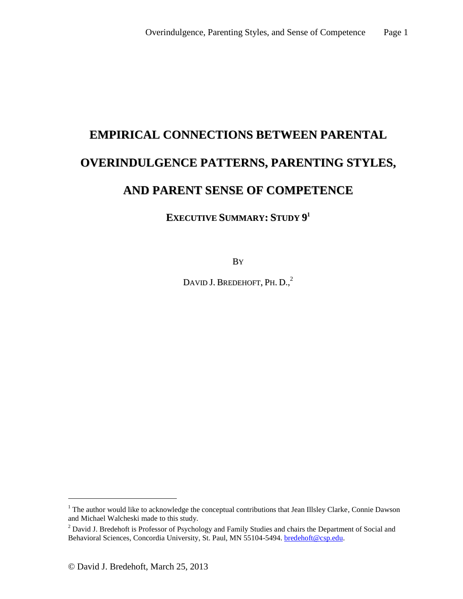# **EMPIRICAL CONNECTIONS BETWEEN PARENTAL OVERINDULGENCE PATTERNS, PARENTING STYLES, AND PARENT SENSE OF COMPETENCE**

## **EXECUTIVE SUMMARY: STUDY 9 1**

BY

DAVID J. BREDEHOFT, PH. D.,<sup>2</sup>

 $\overline{a}$ 

<sup>&</sup>lt;sup>1</sup> The author would like to acknowledge the conceptual contributions that Jean Illsley Clarke, Connie Dawson and Michael Walcheski made to this study.

<sup>&</sup>lt;sup>2</sup> David J. Bredehoft is Professor of Psychology and Family Studies and chairs the Department of Social and Behavioral Sciences, Concordia University, St. Paul, MN 55104-5494. **bredehoft@csp.edu.**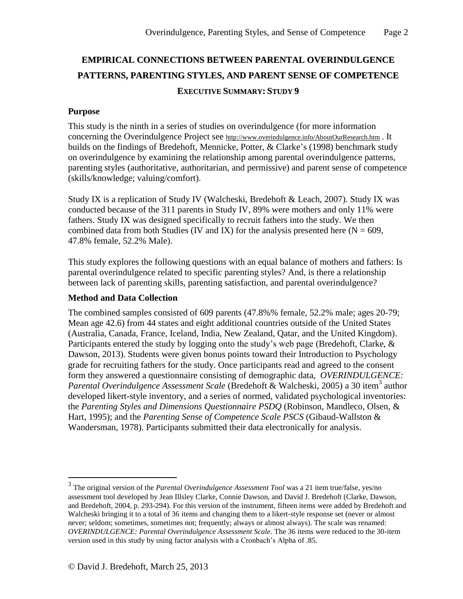# **EMPIRICAL CONNECTIONS BETWEEN PARENTAL OVERINDULGENCE PATTERNS, PARENTING STYLES, AND PARENT SENSE OF COMPETENCE EXECUTIVE SUMMARY: STUDY 9**

#### **Purpose**

This study is the ninth in a series of studies on overindulgence (for more information concerning the Overindulgence Project see <http://www.overindulgence.info/AboutOurResearch.htm>. It builds on the findings of Bredehoft, Mennicke, Potter, & Clarke's (1998) benchmark study on overindulgence by examining the relationship among parental overindulgence patterns, parenting styles (authoritative, authoritarian, and permissive) and parent sense of competence (skills/knowledge; valuing/comfort).

Study IX is a replication of Study IV (Walcheski, Bredehoft & Leach, 2007). Study IX was conducted because of the 311 parents in Study IV, 89% were mothers and only 11% were fathers. Study IX was designed specifically to recruit fathers into the study. We then combined data from both Studies (IV and IX) for the analysis presented here ( $N = 609$ , 47.8% female, 52.2% Male).

This study explores the following questions with an equal balance of mothers and fathers: Is parental overindulgence related to specific parenting styles? And, is there a relationship between lack of parenting skills, parenting satisfaction, and parental overindulgence?

## **Method and Data Collection**

The combined samples consisted of 609 parents (47.8%% female, 52.2% male; ages 20-79; Mean age 42.6) from 44 states and eight additional countries outside of the United States (Australia, Canada, France, Iceland, India, New Zealand, Qatar, and the United Kingdom). Participants entered the study by logging onto the study's web page (Bredehoft, Clarke, & Dawson, 2013). Students were given bonus points toward their Introduction to Psychology grade for recruiting fathers for the study. Once participants read and agreed to the consent form they answered a questionnaire consisting of demographic data, *OVERINDULGENCE:* Parental Overindulgence Assessment Scale (Bredehoft & Walcheski, 2005) a 30 item<sup>3</sup> author developed likert-style inventory, and a series of normed, validated psychological inventories: the *Parenting Styles and Dimensions Questionnaire PSDQ* (Robinson, Mandleco, Olsen, & Hart, 1995); and the *Parenting Sense of Competence Scale PSCS* (Gibaud-Wallston & Wandersman, 1978). Participants submitted their data electronically for analysis.

 $\overline{a}$ 

<sup>3</sup> The original version of the *Parental Overindulgence Assessment Tool* was a 21 item true/false, yes/no assessment tool developed by Jean Illsley Clarke, Connie Dawson, and David J. Bredehoft (Clarke, Dawson, and Bredehoft, 2004, p. 293-294). For this version of the instrument, fifteen items were added by Bredehoft and Walcheski bringing it to a total of 36 items and changing them to a likert-style response set (never or almost never; seldom; sometimes, sometimes not; frequently; always or almost always). The scale was renamed: *OVERINDULGENCE: Parental Overindulgence Assessment Scale*. The 36 items were reduced to the 30-item version used in this study by using factor analysis with a Cronbach's Alpha of .85.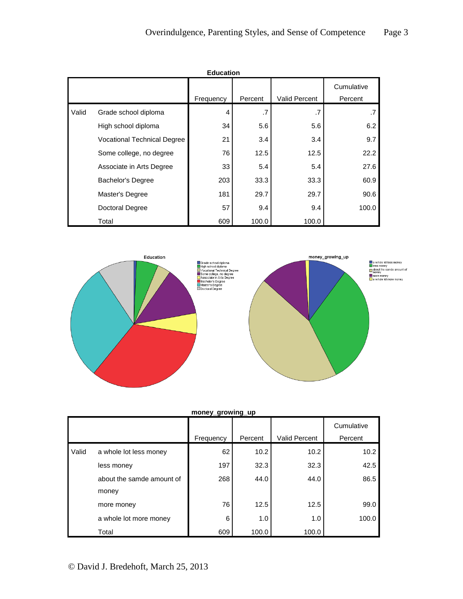|       |                                    | <b>Education</b> |         |                      |                       |
|-------|------------------------------------|------------------|---------|----------------------|-----------------------|
|       |                                    | Frequency        | Percent | <b>Valid Percent</b> | Cumulative<br>Percent |
| Valid | Grade school diploma               | 4                | .7      | .7                   | .7                    |
|       | High school diploma                | 34               | 5.6     | 5.6                  | 6.2                   |
|       | <b>Vocational Technical Degree</b> | 21               | 3.4     | 3.4                  | 9.7                   |
|       | Some college, no degree            | 76               | 12.5    | 12.5                 | 22.2                  |
|       | Associate in Arts Degree           | 33               | 5.4     | 5.4                  | 27.6                  |
|       | <b>Bachelor's Degree</b>           | 203              | 33.3    | 33.3                 | 60.9                  |
|       | Master's Degree                    | 181              | 29.7    | 29.7                 | 90.6                  |
|       | Doctoral Degree                    | 57               | 9.4     | 9.4                  | 100.0                 |
|       | Total                              | 609              | 100.0   | 100.0                |                       |



|       |                           | money_growing_up |         |                      |                       |
|-------|---------------------------|------------------|---------|----------------------|-----------------------|
|       |                           | Frequency        | Percent | <b>Valid Percent</b> | Cumulative<br>Percent |
| Valid | a whole lot less money    | 62               | 10.2    | 10.2                 | 10.2                  |
|       | less money                | 197              | 32.3    | 32.3                 | 42.5                  |
|       | about the samde amount of | 268              | 44.0    | 44.0                 | 86.5                  |
|       | money                     |                  |         |                      |                       |
|       | more money                | 76               | 12.5    | 12.5                 | 99.0                  |
|       | a whole lot more money    | 6                | 1.0     | 1.0                  | 100.0                 |
|       | Total                     | 609              | 100.0   | 100.0                |                       |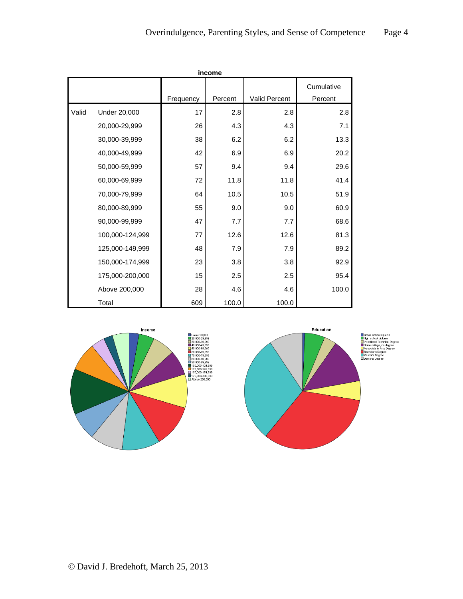|       |                     |           | income  |               |            |
|-------|---------------------|-----------|---------|---------------|------------|
|       |                     |           |         |               | Cumulative |
|       |                     | Frequency | Percent | Valid Percent | Percent    |
| Valid | <b>Under 20,000</b> | 17        | 2.8     | 2.8           | 2.8        |
|       | 20,000-29,999       | 26        | 4.3     | 4.3           | 7.1        |
|       | 30,000-39,999       | 38        | 6.2     | 6.2           | 13.3       |
|       | 40,000-49,999       | 42        | 6.9     | 6.9           | 20.2       |
|       | 50,000-59,999       | 57        | 9.4     | 9.4           | 29.6       |
|       | 60,000-69,999       | 72        | 11.8    | 11.8          | 41.4       |
|       | 70,000-79,999       | 64        | 10.5    | 10.5          | 51.9       |
|       | 80,000-89,999       | 55        | 9.0     | 9.0           | 60.9       |
|       | 90,000-99,999       | 47        | 7.7     | 7.7           | 68.6       |
|       | 100,000-124,999     | 77        | 12.6    | 12.6          | 81.3       |
|       | 125,000-149,999     | 48        | 7.9     | 7.9           | 89.2       |
|       | 150,000-174,999     | 23        | 3.8     | 3.8           | 92.9       |
|       | 175,000-200,000     | 15        | 2.5     | 2.5           | 95.4       |
|       | Above 200,000       | 28        | 4.6     | 4.6           | 100.0      |
|       | Total               | 609       | 100.0   | 100.0         |            |





je, no ue<u>s</u><br>n Arts De Asso<br>Bach<br>Maste<br>Docto ichelor's Degree<br>ister's Degree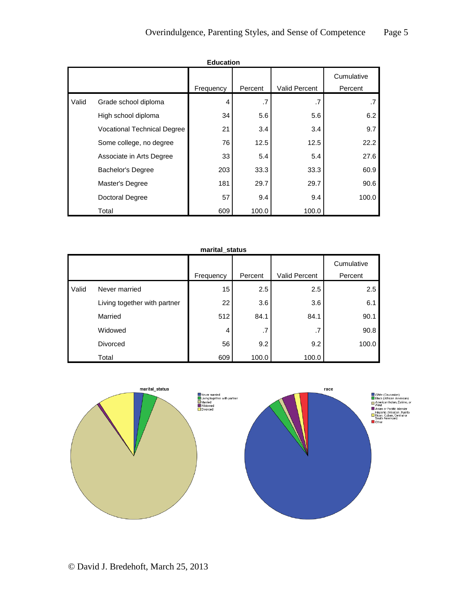|       |                                    | <b>Education</b> |         |               |                       |
|-------|------------------------------------|------------------|---------|---------------|-----------------------|
|       |                                    | Frequency        | Percent | Valid Percent | Cumulative<br>Percent |
| Valid | Grade school diploma               | 4                | .7      | .7            |                       |
|       | High school diploma                | 34               | 5.6     | 5.6           | 6.2                   |
|       | <b>Vocational Technical Degree</b> | 21               | 3.4     | 3.4           | 9.7                   |
|       | Some college, no degree            | 76               | 12.5    | 12.5          | 22.2                  |
|       | Associate in Arts Degree           | 33               | 5.4     | 5.4           | 27.6                  |
|       | <b>Bachelor's Degree</b>           | 203              | 33.3    | 33.3          | 60.9                  |
|       | Master's Degree                    | 181              | 29.7    | 29.7          | 90.6                  |
|       | Doctoral Degree                    | 57               | 9.4     | 9.4           | 100.0                 |
|       | Total                              | 609              | 100.0   | 100.0         |                       |

|       |                              | marital_status |         |               |                       |
|-------|------------------------------|----------------|---------|---------------|-----------------------|
|       |                              | Frequency      | Percent | Valid Percent | Cumulative<br>Percent |
| Valid | Never married                | 15             | 2.5     | 2.5           | 2.5                   |
|       |                              |                |         |               |                       |
|       | Living together with partner | 22             | 3.6     | 3.6           | 6.1                   |
|       | Married                      | 512            | 84.1    | 84.1          | 90.1                  |
|       | Widowed                      | 4              | .7      | .7            | 90.8                  |
|       | <b>Divorced</b>              | 56             | 9.2     | 9.2           | 100.0                 |
|       | Total                        | 609            | 100.0   | 100.0         |                       |

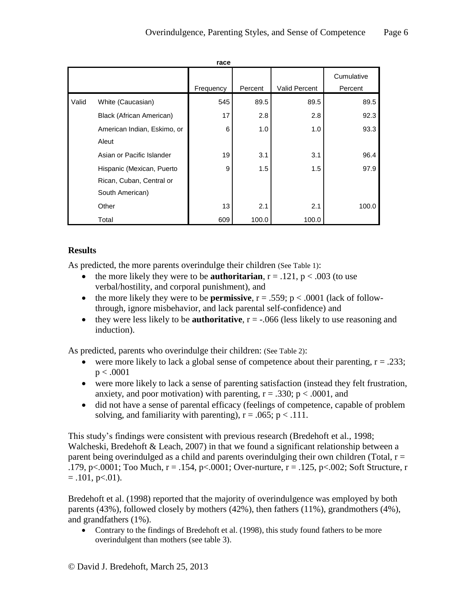|       |                             | race      |         |                      |                       |
|-------|-----------------------------|-----------|---------|----------------------|-----------------------|
|       |                             | Frequency | Percent | <b>Valid Percent</b> | Cumulative<br>Percent |
|       |                             |           |         |                      |                       |
| Valid | White (Caucasian)           | 545       | 89.5    | 89.5                 | 89.5                  |
|       | Black (African American)    | 17        | 2.8     | 2.8                  | 92.3                  |
|       | American Indian, Eskimo, or | 6         | 1.0     | 1.0                  | 93.3                  |
|       | Aleut                       |           |         |                      |                       |
|       | Asian or Pacific Islander   | 19        | 3.1     | 3.1                  | 96.4                  |
|       | Hispanic (Mexican, Puerto   | 9         | 1.5     | 1.5                  | 97.9                  |
|       | Rican, Cuban, Central or    |           |         |                      |                       |
|       | South American)             |           |         |                      |                       |
|       | Other                       | 13        | 2.1     | 2.1                  | 100.0                 |
|       | Total                       | 609       | 100.0   | 100.0                |                       |

## **Results**

As predicted, the more parents overindulge their children (See Table 1):

- the more likely they were to be **authoritarian**,  $r = .121$ ,  $p < .003$  (to use verbal/hostility, and corporal punishment), and
- the more likely they were to be **permissive**,  $r = .559$ ;  $p < .0001$  (lack of followthrough, ignore misbehavior, and lack parental self-confidence) and
- they were less likely to be **authoritative**,  $r = -0.066$  (less likely to use reasoning and induction).

As predicted, parents who overindulge their children: (See Table 2):

- were more likely to lack a global sense of competence about their parenting,  $r = .233$ ;  $p < .0001$
- were more likely to lack a sense of parenting satisfaction (instead they felt frustration, anxiety, and poor motivation) with parenting,  $r = .330$ ;  $p < .0001$ , and
- did not have a sense of parental efficacy (feelings of competence, capable of problem solving, and familiarity with parenting),  $r = .065$ ;  $p < .111$ .

This study's findings were consistent with previous research (Bredehoft et al., 1998; Walcheski, Bredehoft & Leach, 2007) in that we found a significant relationship between a parent being overindulged as a child and parents overindulging their own children (Total,  $r =$ .179, p<.0001; Too Much,  $r = .154$ , p<.0001; Over-nurture,  $r = .125$ , p<.002; Soft Structure, r  $= .101$ , p $< .01$ ).

Bredehoft et al. (1998) reported that the majority of overindulgence was employed by both parents (43%), followed closely by mothers (42%), then fathers (11%), grandmothers (4%), and grandfathers (1%).

 Contrary to the findings of Bredehoft et al. (1998), this study found fathers to be more overindulgent than mothers (see table 3).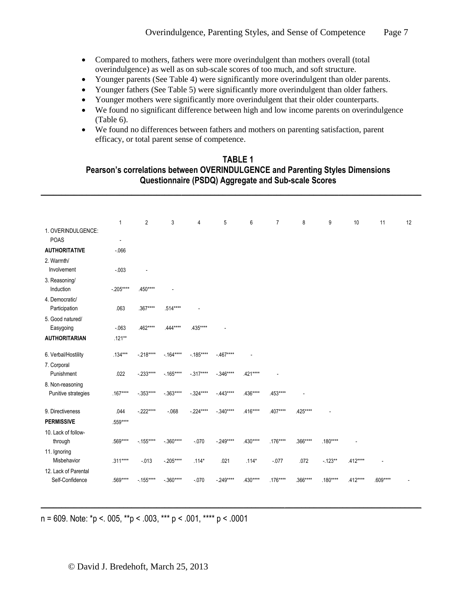- Compared to mothers, fathers were more overindulgent than mothers overall (total overindulgence) as well as on sub-scale scores of too much, and soft structure.
- Younger parents (See Table 4) were significantly more overindulgent than older parents.
- Younger fathers (See Table 5) were significantly more overindulgent than older fathers.
- Younger mothers were significantly more overindulgent that their older counterparts.
- We found no significant difference between high and low income parents on overindulgence (Table 6).
- We found no differences between fathers and mothers on parenting satisfaction, parent efficacy, or total parent sense of competence.

## **TABLE 1 Pearson's correlations between OVERINDULGENCE and Parenting Styles Dimensions Questionnaire (PSDQ) Aggregate and Sub-scale Scores \_\_\_\_\_\_\_\_\_\_\_\_\_\_\_\_\_\_\_\_\_\_\_\_\_\_\_\_\_\_\_\_\_\_\_\_\_\_\_\_\_\_\_\_\_\_\_\_\_\_\_\_\_\_\_\_\_\_\_\_\_\_\_\_\_\_\_\_\_\_\_\_\_\_\_\_\_\_\_\_\_\_\_\_\_\_\_\_\_\_\_\_**

|                                         | 1              | $\overline{2}$ | 3          | 4          | 5          | 6        | $\overline{7}$ | 8        | 9         | 10       | 11       | 12 |
|-----------------------------------------|----------------|----------------|------------|------------|------------|----------|----------------|----------|-----------|----------|----------|----|
| 1. OVERINDULGENCE:<br><b>POAS</b>       | $\blacksquare$ |                |            |            |            |          |                |          |           |          |          |    |
| <b>AUTHORITATIVE</b>                    | $-066$         |                |            |            |            |          |                |          |           |          |          |    |
| 2. Warmth/<br>Involvement               | $-0.03$        |                |            |            |            |          |                |          |           |          |          |    |
| 3. Reasoning/<br>Induction              | $-.205***$     | .450****       |            |            |            |          |                |          |           |          |          |    |
| 4. Democratic/<br>Participation         | .063           | .367****       | .514****   |            |            |          |                |          |           |          |          |    |
| 5. Good natured/<br>Easygoing           | $-063$         | .462****       | .444****   | .435****   |            |          |                |          |           |          |          |    |
| <b>AUTHORITARIAN</b>                    | $.121**$       |                |            |            |            |          |                |          |           |          |          |    |
| 6. Verbal/Hostility                     | $.134***$      | $-218***$      | $-164***$  | $-185***$  | $-467***$  |          |                |          |           |          |          |    |
| 7. Corporal<br>Punishment               | .022           | $-233***$      | $-165***$  | $-.317***$ | $-.346***$ | .421**** |                |          |           |          |          |    |
| 8. Non-reasoning<br>Punitive strategies | .167****       | $-0.353***$    | $-.363***$ | $-324***$  | $-443***$  | .436**** | .453****       |          |           |          |          |    |
| 9. Directiveness                        | .044           | $-.222***$     | $-068$     | $-.224***$ | $-.340***$ | .416**** | .407****       | .425**** |           |          |          |    |
| <b>PERMISSIVE</b>                       | .559****       |                |            |            |            |          |                |          |           |          |          |    |
| 10. Lack of follow-<br>through          | .569****       | $-155***$      | $-.360***$ | $-070$     | $-249***$  | .430**** | .176****       | .366**** | .180****  |          |          |    |
| 11. Ignoring<br>Misbehavior             | $.311***$      | $-013$         | $-.205***$ | $.114*$    | .021       | $.114*$  | $-0.077$       | .072     | $-123**$  | .412**** |          |    |
| 12. Lack of Parental<br>Self-Confidence | .569****       | $-.155***$     | $-.360***$ | $-070$     | $-249***$  | .430**** | $.176***$      | .366**** | $.180***$ | .412**** | .609**** |    |

**\_\_\_\_\_\_\_\_\_\_\_\_\_\_\_\_\_\_\_\_\_\_\_\_\_\_\_\_\_\_\_\_\_\_\_\_\_\_\_\_\_\_\_\_\_\_\_\_\_\_\_\_\_\_\_\_\_\_\_\_\_\_\_\_\_\_\_\_\_\_\_\_\_\_\_\_\_\_\_\_\_\_\_\_\_\_\_\_\_\_\_\_**

n = 609. Note: \*p <. 005, \*\*p < .003, \*\*\* p < .001, \*\*\*\* p < .0001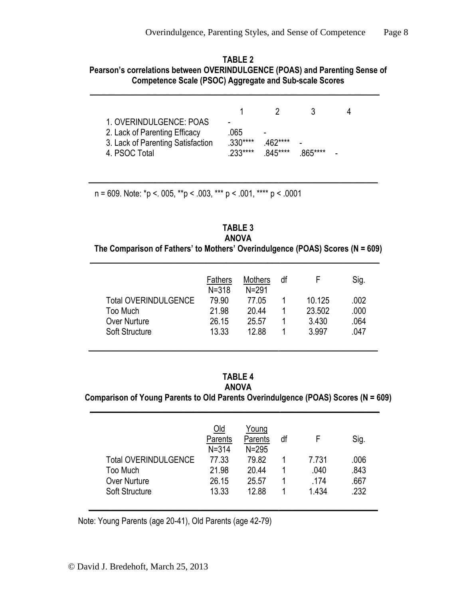**TABLE 2 Pearson's correlations between OVERINDULGENCE (POAS) and Parenting Sense of Competence Scale (PSOC) Aggregate and Sub-scale Scores**

**\_\_\_\_\_\_\_\_\_\_\_\_\_\_\_\_\_\_\_\_\_\_\_\_\_\_\_\_\_\_\_\_\_\_\_\_\_\_\_\_\_\_\_\_\_\_\_\_\_\_\_\_\_\_\_\_\_\_\_\_\_\_\_\_\_\_\_\_\_\_**

|                                                                                                                |                              | -2.                     |         |  |
|----------------------------------------------------------------------------------------------------------------|------------------------------|-------------------------|---------|--|
| 1. OVERINDULGENCE: POAS<br>2. Lack of Parenting Efficacy<br>3. Lack of Parenting Satisfaction<br>4. PSOC Total | .065<br>$330***$<br>$233***$ | -<br>462****<br>845**** | 865**** |  |

**\_\_\_\_\_\_\_\_\_\_\_\_\_\_\_\_\_\_\_\_\_\_\_\_\_\_\_\_\_\_\_\_\_\_\_\_\_\_\_\_\_\_\_\_\_\_\_\_\_\_\_\_\_\_\_\_\_\_\_\_\_\_\_\_\_\_\_\_\_\_**

n = 609. Note: \*p <. 005, \*\*p < .003, \*\*\* p < .001, \*\*\*\* p < .0001

## **TABLE 3 ANOVA The Comparison of Fathers' to Mothers' Overindulgence (POAS) Scores (N = 609)**

**\_\_\_\_\_\_\_\_\_\_\_\_\_\_\_\_\_\_\_\_\_\_\_\_\_\_\_\_\_\_\_\_\_\_\_\_\_\_\_\_\_\_\_\_\_\_\_\_\_\_\_\_\_\_\_\_\_\_\_\_\_\_\_\_\_\_\_\_\_\_**

|                             | Fathers<br>$N = 318$ | <b>Mothers</b><br>$N = 291$ | df |        | Sig. |
|-----------------------------|----------------------|-----------------------------|----|--------|------|
| <b>Total OVERINDULGENCE</b> | 79.90                | 77.05                       |    | 10.125 | .002 |
| Too Much                    | 21.98                | 20.44                       |    | 23.502 | .000 |
| <b>Over Nurture</b>         | 26.15                | 25.57                       |    | 3.430  | .064 |
| <b>Soft Structure</b>       | 13.33                | 12.88                       |    | 3.997  | .047 |
|                             |                      |                             |    |        |      |

## **TABLE 4**

**ANOVA**

**\_\_\_\_\_\_\_\_\_\_\_\_\_\_\_\_\_\_\_\_\_\_\_\_\_\_\_\_\_\_\_\_\_\_\_\_\_\_\_\_\_\_\_\_\_\_\_\_\_\_\_\_\_\_\_\_\_\_\_\_\_\_\_\_\_\_\_\_\_\_**

**Comparison of Young Parents to Old Parents Overindulgence (POAS) Scores (N = 609) \_\_\_\_\_\_\_\_\_\_\_\_\_\_\_\_\_\_\_\_\_\_\_\_\_\_\_\_\_\_\_\_\_\_\_\_\_\_\_\_\_\_\_\_\_\_\_\_\_\_\_\_\_\_\_\_\_\_\_\_\_\_\_\_\_\_\_\_\_\_**

|                             | <u>Old</u><br>Parents<br>$N = 314$ | Young<br>Parents<br>$N = 295$ | df |       | Sig. |
|-----------------------------|------------------------------------|-------------------------------|----|-------|------|
| <b>Total OVERINDULGENCE</b> | 77.33                              | 79.82                         |    | 7.731 | .006 |
| Too Much                    | 21.98                              | 20.44                         |    | .040  | .843 |
| <b>Over Nurture</b>         | 26.15                              | 25.57                         |    | .174  | .667 |
| <b>Soft Structure</b>       | 13.33                              | 12.88                         |    | 1.434 | .232 |
|                             |                                    |                               |    |       |      |

Note: Young Parents (age 20-41), Old Parents (age 42-79)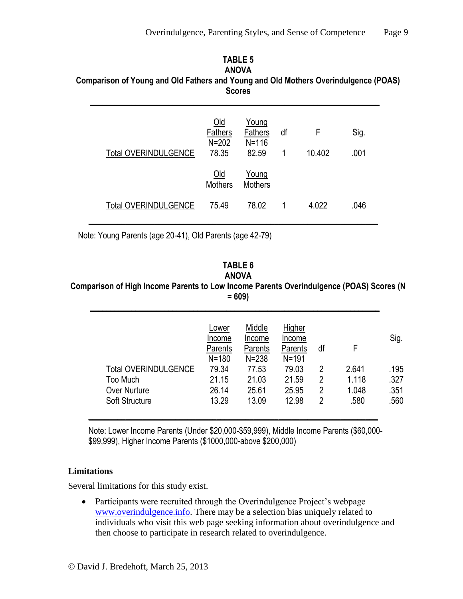## **TABLE 5 ANOVA Comparison of Young and Old Fathers and Young and Old Mothers Overindulgence (POAS) Scores**

| <b>Total OVERINDULGENCE</b> | $Old$<br>Fathers<br>$N = 202$<br>78.35 | Young<br><b>Fathers</b><br>$N = 116$<br>82.59 | df<br>1 | F<br>10.402 | Sig.<br>.001 |
|-----------------------------|----------------------------------------|-----------------------------------------------|---------|-------------|--------------|
|                             | <u>Old</u><br>Mothers                  | Young<br><b>Mothers</b>                       |         |             |              |
| <b>Total OVERINDULGENCE</b> | 75.49                                  | 78.02                                         | 1       | 4.022       | .046         |

Note: Young Parents (age 20-41), Old Parents (age 42-79)

#### **TABLE 6 ANOVA**

## **Comparison of High Income Parents to Low Income Parents Overindulgence (POAS) Scores (N = 609)**

**\_\_\_\_\_\_\_\_\_\_\_\_\_\_\_\_\_\_\_\_\_\_\_\_\_\_\_\_\_\_\_\_\_\_\_\_\_\_\_\_\_\_\_\_\_\_\_\_\_\_\_\_\_\_\_\_\_\_\_\_\_\_\_\_\_\_\_\_\_\_**

|                             | Lower<br>Income<br>Parents<br>$N = 180$ | Middle<br>Income<br>Parents<br>$N = 238$ | Higher<br>Income<br>Parents<br>$N = 191$ | df | F.    | Sig. |
|-----------------------------|-----------------------------------------|------------------------------------------|------------------------------------------|----|-------|------|
| <b>Total OVERINDULGENCE</b> | 79.34                                   | 77.53                                    | 79.03                                    | 2  | 2.641 | .195 |
| Too Much                    | 21.15                                   | 21.03                                    | 21.59                                    | 2  | 1.118 | .327 |
| <b>Over Nurture</b>         | 26.14                                   | 25.61                                    | 25.95                                    | 2  | 1.048 | .351 |
| <b>Soft Structure</b>       | 13.29                                   | 13.09                                    | 12.98                                    | 2  | .580  | .560 |

Note: Lower Income Parents (Under \$20,000-\$59,999), Middle Income Parents (\$60,000- \$99,999), Higher Income Parents (\$1000,000-above \$200,000)

## **Limitations**

Several limitations for this study exist.

• Participants were recruited through the Overindulgence Project's webpage [www.overindulgence.info.](http://www.overindulgence.info/) There may be a selection bias uniquely related to individuals who visit this web page seeking information about overindulgence and then choose to participate in research related to overindulgence.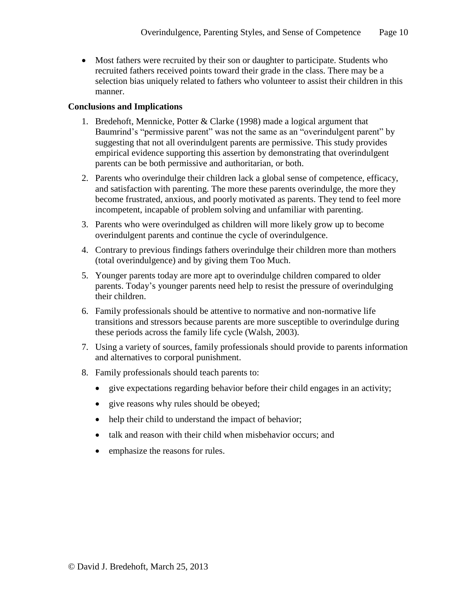Most fathers were recruited by their son or daughter to participate. Students who recruited fathers received points toward their grade in the class. There may be a selection bias uniquely related to fathers who volunteer to assist their children in this manner.

## **Conclusions and Implications**

- 1. Bredehoft, Mennicke, Potter & Clarke (1998) made a logical argument that Baumrind's "permissive parent" was not the same as an "overindulgent parent" by suggesting that not all overindulgent parents are permissive. This study provides empirical evidence supporting this assertion by demonstrating that overindulgent parents can be both permissive and authoritarian, or both.
- 2. Parents who overindulge their children lack a global sense of competence, efficacy, and satisfaction with parenting. The more these parents overindulge, the more they become frustrated, anxious, and poorly motivated as parents. They tend to feel more incompetent, incapable of problem solving and unfamiliar with parenting.
- 3. Parents who were overindulged as children will more likely grow up to become overindulgent parents and continue the cycle of overindulgence.
- 4. Contrary to previous findings fathers overindulge their children more than mothers (total overindulgence) and by giving them Too Much.
- 5. Younger parents today are more apt to overindulge children compared to older parents. Today's younger parents need help to resist the pressure of overindulging their children.
- 6. Family professionals should be attentive to normative and non-normative life transitions and stressors because parents are more susceptible to overindulge during these periods across the family life cycle (Walsh, 2003).
- 7. Using a variety of sources, family professionals should provide to parents information and alternatives to corporal punishment.
- 8. Family professionals should teach parents to:
	- give expectations regarding behavior before their child engages in an activity;
	- give reasons why rules should be obeyed;
	- help their child to understand the impact of behavior;
	- talk and reason with their child when misbehavior occurs; and
	- emphasize the reasons for rules.